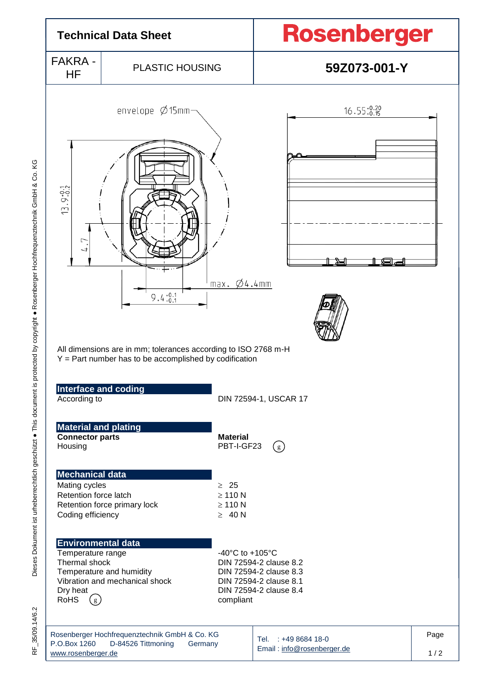

Dieses Dokument ist urheberrechtlich geschützt . This document is protected by copyright . Rosenberger Hochfrequenztechnik GmbH & Co. KG Dieses Dokument ist urheberrechtlich geschützt ● This document is protected by copyright ● Rosenberger Hochfrequenztechnik GmbH & Co. KG

35/09.14/6.2 RF\_35/09.14/6.2 눈